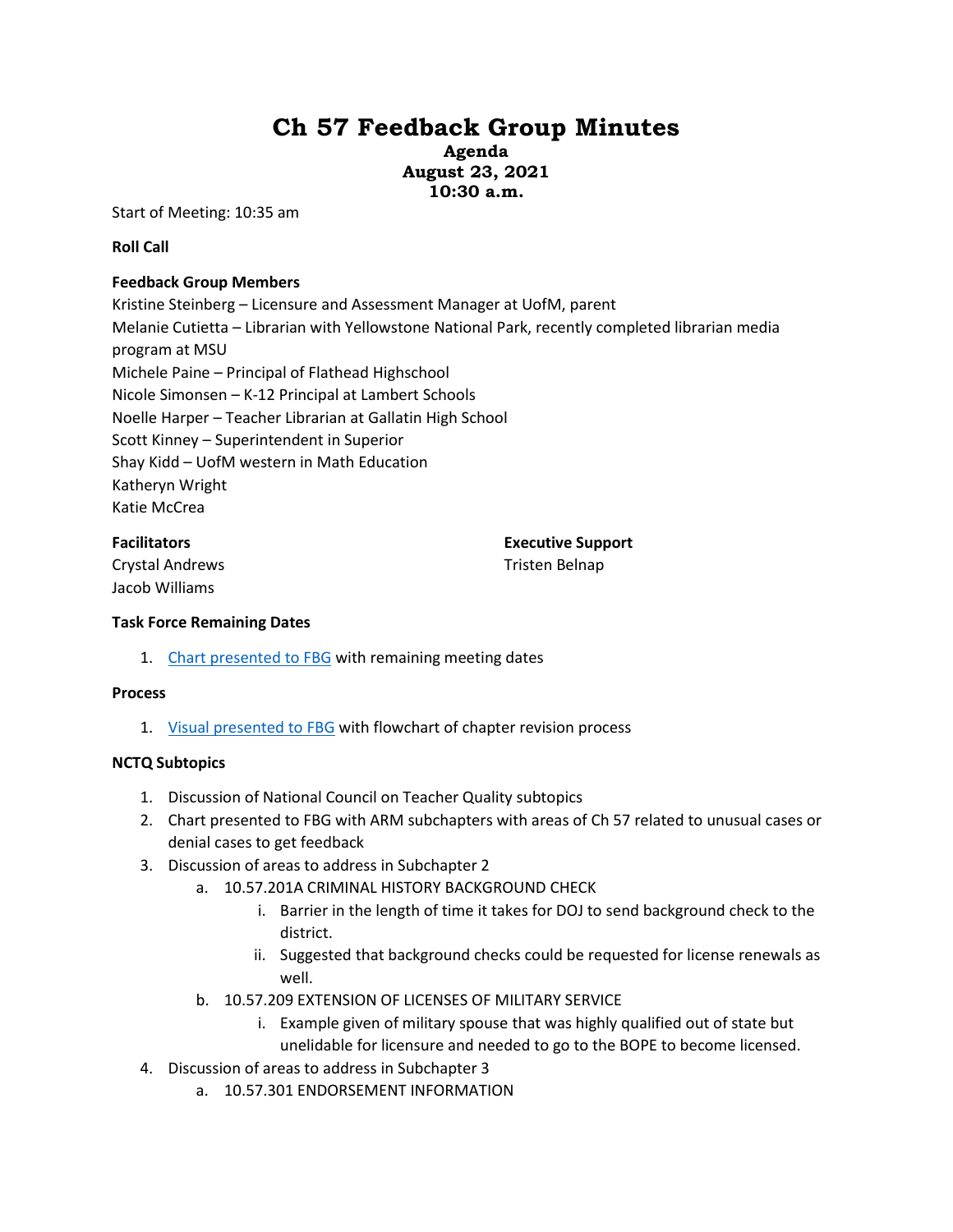# **Ch 57 Feedback Group Minutes**

**Agenda August 23, 2021 10:30 a.m.**

Start of Meeting: 10:35 am

**Roll Call** 

# **Feedback Group Members**

Kristine Steinberg – Licensure and Assessment Manager at UofM, parent Melanie Cutietta – Librarian with Yellowstone National Park, recently completed librarian media program at MSU Michele Paine – Principal of Flathead Highschool Nicole Simonsen – K-12 Principal at Lambert Schools Noelle Harper – Teacher Librarian at Gallatin High School Scott Kinney – Superintendent in Superior Shay Kidd – UofM western in Math Education Katheryn Wright Katie McCrea

## **Facilitators**

**Executive Support**

Crystal Andrews Jacob Williams

Tristen Belnap

## **Task Force Remaining Dates**

1. [Chart presented to FBG](https://docs.google.com/presentation/d/1qxmRWQ1lW3uEo9YUQRI13daapxVvZP8A/edit?usp=sharing&ouid=103980653118195900680&rtpof=true&sd=true) with remaining meeting dates

## **Process**

1. [Visual presented to FBG](https://docs.google.com/presentation/d/1qxmRWQ1lW3uEo9YUQRI13daapxVvZP8A/edit?usp=sharing&ouid=103980653118195900680&rtpof=true&sd=true) with flowchart of chapter revision process

# **NCTQ Subtopics**

- 1. Discussion of National Council on Teacher Quality subtopics
- 2. Chart presented to FBG with ARM subchapters with areas of Ch 57 related to unusual cases or denial cases to get feedback
- 3. Discussion of areas to address in Subchapter 2
	- a. 10.57.201A CRIMINAL HISTORY BACKGROUND CHECK
		- i. Barrier in the length of time it takes for DOJ to send background check to the district.
		- ii. Suggested that background checks could be requested for license renewals as well.
	- b. 10.57.209 EXTENSION OF LICENSES OF MILITARY SERVICE
		- i. Example given of military spouse that was highly qualified out of state but unelidable for licensure and needed to go to the BOPE to become licensed.
- 4. Discussion of areas to address in Subchapter 3
	- a. 10.57.301 ENDORSEMENT INFORMATION